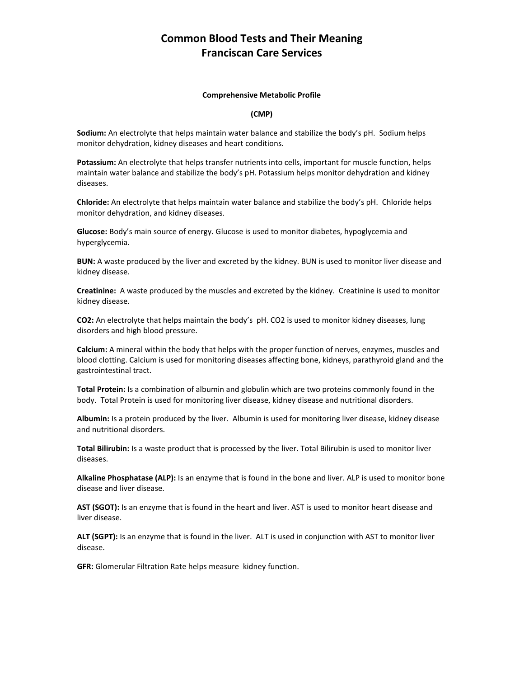## **Common Blood Tests and Their Meaning Franciscan Care Services**

#### **Comprehensive Metabolic Profile**

#### **(CMP)**

**Sodium:** An electrolyte that helps maintain water balance and stabilize the body's pH. Sodium helps monitor dehydration, kidney diseases and heart conditions.

**Potassium:** An electrolyte that helps transfer nutrients into cells, important for muscle function, helps maintain water balance and stabilize the body's pH. Potassium helps monitor dehydration and kidney diseases.

**Chloride:** An electrolyte that helps maintain water balance and stabilize the body's pH. Chloride helps monitor dehydration, and kidney diseases.

**Glucose:** Body's main source of energy. Glucose is used to monitor diabetes, hypoglycemia and hyperglycemia.

**BUN:** A waste produced by the liver and excreted by the kidney. BUN is used to monitor liver disease and kidney disease.

**Creatinine:** A waste produced by the muscles and excreted by the kidney. Creatinine is used to monitor kidney disease.

**CO2:** An electrolyte that helps maintain the body's pH. CO2 is used to monitor kidney diseases, lung disorders and high blood pressure.

**Calcium:** A mineral within the body that helps with the proper function of nerves, enzymes, muscles and blood clotting. Calcium is used for monitoring diseases affecting bone, kidneys, parathyroid gland and the gastrointestinal tract.

**Total Protein:** Is a combination of albumin and globulin which are two proteins commonly found in the body. Total Protein is used for monitoring liver disease, kidney disease and nutritional disorders.

**Albumin:** Is a protein produced by the liver. Albumin is used for monitoring liver disease, kidney disease and nutritional disorders.

**Total Bilirubin:** Is a waste product that is processed by the liver. Total Bilirubin is used to monitor liver diseases.

**Alkaline Phosphatase (ALP):** Is an enzyme that is found in the bone and liver. ALP is used to monitor bone disease and liver disease.

**AST (SGOT):** Is an enzyme that is found in the heart and liver. AST is used to monitor heart disease and liver disease.

**ALT (SGPT):** Is an enzyme that is found in the liver. ALT is used in conjunction with AST to monitor liver disease.

**GFR:** Glomerular Filtration Rate helps measure kidney function.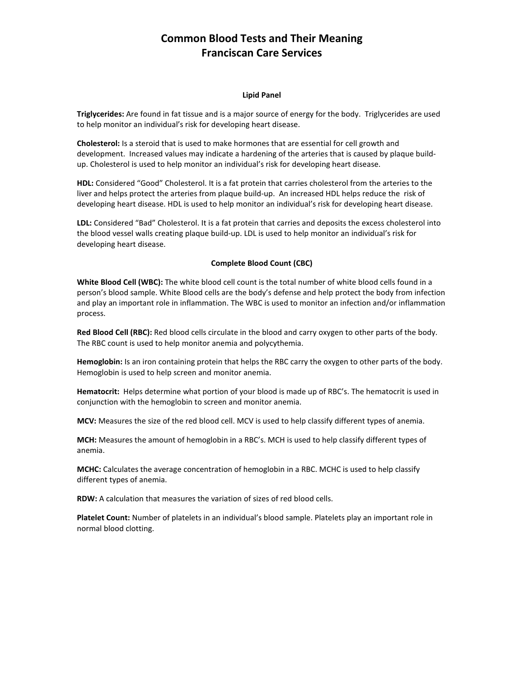## **Common Blood Tests and Their Meaning Franciscan Care Services**

#### **Lipid Panel**

**Triglycerides:** Are found in fat tissue and is a major source of energy for the body. Triglycerides are used to help monitor an individual's risk for developing heart disease.

**Cholesterol:** Is a steroid that is used to make hormones that are essential for cell growth and development. Increased values may indicate a hardening of the arteries that is caused by plaque buildup. Cholesterol is used to help monitor an individual's risk for developing heart disease.

**HDL:** Considered "Good" Cholesterol. It is a fat protein that carries cholesterol from the arteries to the liver and helps protect the arteries from plaque build-up. An increased HDL helps reduce the risk of developing heart disease. HDL is used to help monitor an individual's risk for developing heart disease.

**LDL:** Considered "Bad" Cholesterol. It is a fat protein that carries and deposits the excess cholesterol into the blood vessel walls creating plaque build-up. LDL is used to help monitor an individual's risk for developing heart disease.

### **Complete Blood Count (CBC)**

**White Blood Cell (WBC):** The white blood cell count is the total number of white blood cells found in a person's blood sample. White Blood cells are the body's defense and help protect the body from infection and play an important role in inflammation. The WBC is used to monitor an infection and/or inflammation process.

**Red Blood Cell (RBC):** Red blood cells circulate in the blood and carry oxygen to other parts of the body. The RBC count is used to help monitor anemia and polycythemia.

**Hemoglobin:** Is an iron containing protein that helps the RBC carry the oxygen to other parts of the body. Hemoglobin is used to help screen and monitor anemia.

**Hematocrit:** Helps determine what portion of your blood is made up of RBC's. The hematocrit is used in conjunction with the hemoglobin to screen and monitor anemia.

**MCV:** Measures the size of the red blood cell. MCV is used to help classify different types of anemia.

**MCH:** Measures the amount of hemoglobin in a RBC's. MCH is used to help classify different types of anemia.

**MCHC:** Calculates the average concentration of hemoglobin in a RBC. MCHC is used to help classify different types of anemia.

**RDW:** A calculation that measures the variation of sizes of red blood cells.

**Platelet Count:** Number of platelets in an individual's blood sample. Platelets play an important role in normal blood clotting.